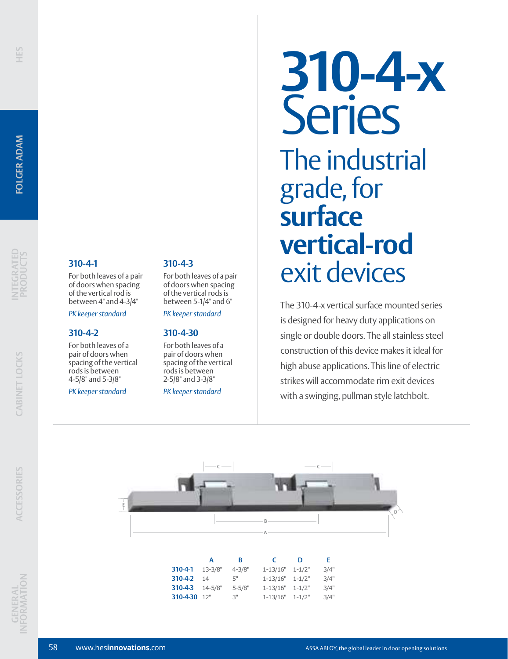# **INTEGRATED PRODUCTS**

# **310-4-1**

For both leaves of a pair of doors when spacing of the vertical rod is between 4" and 4-3/4"

### *PK keeper standard*

### **310-4-2**

For both leaves of a pair of doors when spacing of the vertical rods is between 4-5/8" and 5-3/8"

### *PK keeper standard*

### **310-4-3**

For both leaves of a pair of doors when spacing of the vertical rods is between 5-1/4" and 6"

*PK keeper standard*

### **310-4-30**

For both leaves of a pair of doors when spacing of the vertical rods is between 2-5/8" and 3-3/8"

*PK keeper standard*

# **310-4-x** Series The industrial grade, for **surface vertical-rod** exit devices

The 310-4-x vertical surface mounted series is designed for heavy duty applications on single or double doors. The all stainless steel construction of this device makes it ideal for high abuse applications. This line of electric strikes will accommodate rim exit devices with a swinging, pullman style latchbolt.



|                 | A  | В               | C                   | n | F.   |
|-----------------|----|-----------------|---------------------|---|------|
| 310-4-1 13-3/8" |    | $4 - 3/8"$      | $1-13/16"$ $1-1/2"$ |   | 3/4" |
| 310-4-2         | 14 | г"              | $1-13/16"$ $1-1/2"$ |   | 3/4" |
| 310-4-3 14-5/8" |    | $5 - 5/8"$      | $1-13/16"$ $1-1/2"$ |   | 3/4" |
| 310-4-30 12"    |    | 3 <sub>ii</sub> | $1-13/16"$ $1-1/2"$ |   | 3/4" |